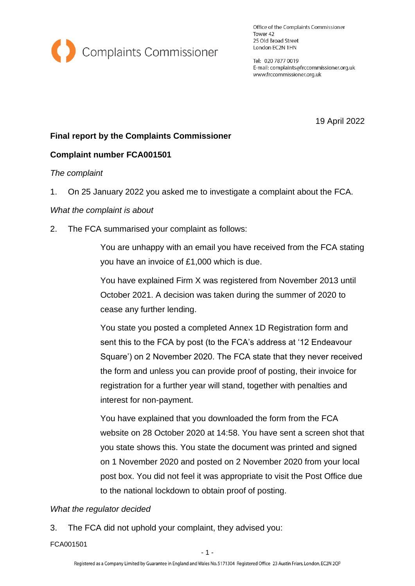

Office of the Complaints Commissioner Tower 42 25 Old Broad Street London EC2N 1HN

Tel: 020 7877 0019 E-mail: complaints@frccommissioner.org.uk www.frccommissioner.org.uk

19 April 2022

# **Final report by the Complaints Commissioner**

# **Complaint number FCA001501**

### *The complaint*

1. On 25 January 2022 you asked me to investigate a complaint about the FCA.

### *What the complaint is about*

2. The FCA summarised your complaint as follows:

You are unhappy with an email you have received from the FCA stating you have an invoice of £1,000 which is due.

You have explained Firm X was registered from November 2013 until October 2021. A decision was taken during the summer of 2020 to cease any further lending.

You state you posted a completed Annex 1D Registration form and sent this to the FCA by post (to the FCA's address at '12 Endeavour Square') on 2 November 2020. The FCA state that they never received the form and unless you can provide proof of posting, their invoice for registration for a further year will stand, together with penalties and interest for non-payment.

You have explained that you downloaded the form from the FCA website on 28 October 2020 at 14:58. You have sent a screen shot that you state shows this. You state the document was printed and signed on 1 November 2020 and posted on 2 November 2020 from your local post box. You did not feel it was appropriate to visit the Post Office due to the national lockdown to obtain proof of posting.

# *What the regulator decided*

3. The FCA did not uphold your complaint, they advised you:

FCA001501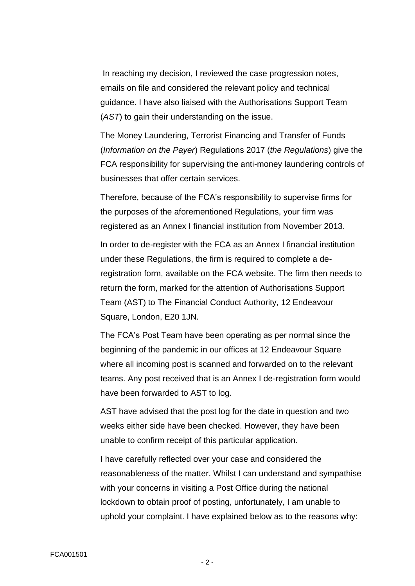In reaching my decision, I reviewed the case progression notes, emails on file and considered the relevant policy and technical guidance. I have also liaised with the Authorisations Support Team (*AST*) to gain their understanding on the issue.

The Money Laundering, Terrorist Financing and Transfer of Funds (*Information on the Payer*) Regulations 2017 (*the Regulations*) give the FCA responsibility for supervising the anti-money laundering controls of businesses that offer certain services.

Therefore, because of the FCA's responsibility to supervise firms for the purposes of the aforementioned Regulations, your firm was registered as an Annex I financial institution from November 2013.

In order to de-register with the FCA as an Annex I financial institution under these Regulations, the firm is required to complete a deregistration form, available on the FCA website. The firm then needs to return the form, marked for the attention of Authorisations Support Team (AST) to The Financial Conduct Authority, 12 Endeavour Square, London, E20 1JN.

The FCA's Post Team have been operating as per normal since the beginning of the pandemic in our offices at 12 Endeavour Square where all incoming post is scanned and forwarded on to the relevant teams. Any post received that is an Annex I de-registration form would have been forwarded to AST to log.

AST have advised that the post log for the date in question and two weeks either side have been checked. However, they have been unable to confirm receipt of this particular application.

I have carefully reflected over your case and considered the reasonableness of the matter. Whilst I can understand and sympathise with your concerns in visiting a Post Office during the national lockdown to obtain proof of posting, unfortunately, I am unable to uphold your complaint. I have explained below as to the reasons why: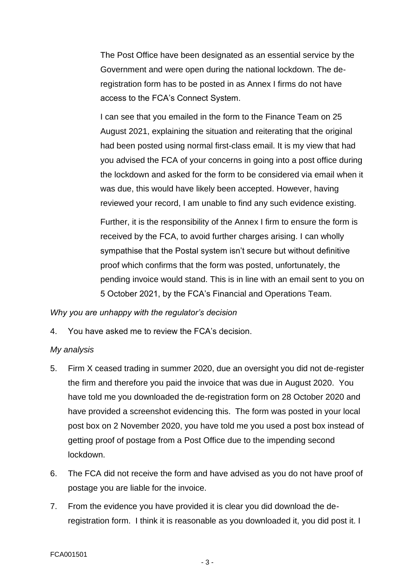The Post Office have been designated as an essential service by the Government and were open during the national lockdown. The deregistration form has to be posted in as Annex I firms do not have access to the FCA's Connect System.

I can see that you emailed in the form to the Finance Team on 25 August 2021, explaining the situation and reiterating that the original had been posted using normal first-class email. It is my view that had you advised the FCA of your concerns in going into a post office during the lockdown and asked for the form to be considered via email when it was due, this would have likely been accepted. However, having reviewed your record, I am unable to find any such evidence existing.

Further, it is the responsibility of the Annex I firm to ensure the form is received by the FCA, to avoid further charges arising. I can wholly sympathise that the Postal system isn't secure but without definitive proof which confirms that the form was posted, unfortunately, the pending invoice would stand. This is in line with an email sent to you on 5 October 2021, by the FCA's Financial and Operations Team.

### *Why you are unhappy with the regulator's decision*

4. You have asked me to review the FCA's decision.

### *My analysis*

- 5. Firm X ceased trading in summer 2020, due an oversight you did not de-register the firm and therefore you paid the invoice that was due in August 2020. You have told me you downloaded the de-registration form on 28 October 2020 and have provided a screenshot evidencing this. The form was posted in your local post box on 2 November 2020, you have told me you used a post box instead of getting proof of postage from a Post Office due to the impending second lockdown.
- 6. The FCA did not receive the form and have advised as you do not have proof of postage you are liable for the invoice.
- 7. From the evidence you have provided it is clear you did download the deregistration form. I think it is reasonable as you downloaded it, you did post it. I